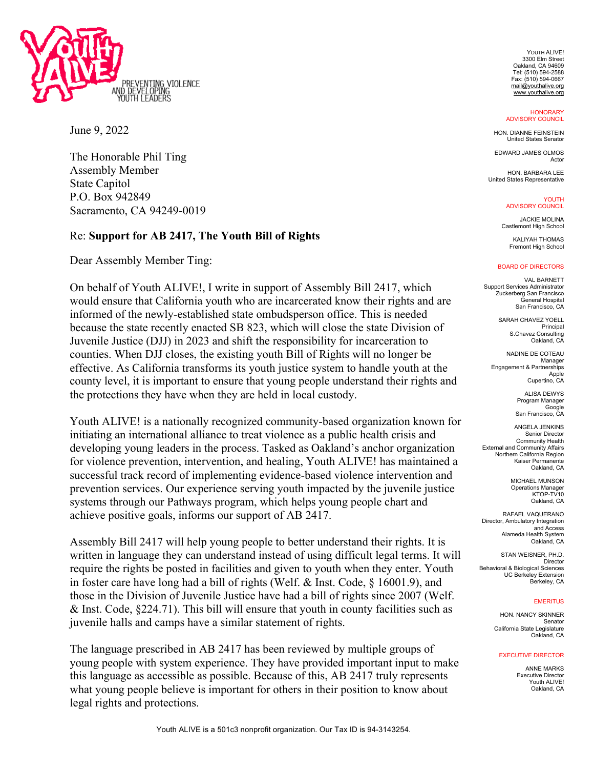

June 9, 2022

The Honorable Phil Ting Assembly Member State Capitol P.O. Box 942849 Sacramento, CA 94249-0019

## Re: **Support for AB 2417, The Youth Bill of Rights**

Dear Assembly Member Ting:

On behalf of Youth ALIVE!, I write in support of Assembly Bill 2417, which would ensure that California youth who are incarcerated know their rights and are informed of the newly-established state ombudsperson office. This is needed because the state recently enacted SB 823, which will close the state Division of Juvenile Justice (DJJ) in 2023 and shift the responsibility for incarceration to counties. When DJJ closes, the existing youth Bill of Rights will no longer be effective. As California transforms its youth justice system to handle youth at the county level, it is important to ensure that young people understand their rights and the protections they have when they are held in local custody.

Youth ALIVE! is a nationally recognized community-based organization known for initiating an international alliance to treat violence as a public health crisis and developing young leaders in the process. Tasked as Oakland's anchor organization for violence prevention, intervention, and healing, Youth ALIVE! has maintained a successful track record of implementing evidence-based violence intervention and prevention services. Our experience serving youth impacted by the juvenile justice systems through our Pathways program, which helps young people chart and achieve positive goals, informs our support of AB 2417.

Assembly Bill 2417 will help young people to better understand their rights. It is written in language they can understand instead of using difficult legal terms. It will require the rights be posted in facilities and given to youth when they enter. Youth in foster care have long had a bill of rights (Welf. & Inst. Code, § 16001.9), and those in the Division of Juvenile Justice have had a bill of rights since 2007 (Welf. & Inst. Code, §224.71). This bill will ensure that youth in county facilities such as juvenile halls and camps have a similar statement of rights.

The language prescribed in AB 2417 has been reviewed by multiple groups of young people with system experience. They have provided important input to make this language as accessible as possible. Because of this, AB 2417 truly represents what young people believe is important for others in their position to know about legal rights and protections.

YOUTH ALIVE! 3300 Elm Street Oakland, CA 94609 Tel: (510) 594-2588 Fax: (510) 594-0667 mail@youthalive.org www.youthalive.org

**HONORARY** ADVISORY COUNCIL

HON. DIANNE FEINSTEIN United States Senator

EDWARD JAMES OLMOS Actor

HON. BARBARA LEE United States Representative

> YOUTH ADVISORY COUNCIL

JACKIE MOLINA Castlemont High School

KALIYAH THOMAS Fremont High School

## BOARD OF DIRECTORS

VAL BARNETT Support Services Administrator Zuckerberg San Francisco General Hospital San Francisco, CA

SARAH CHAVEZ YOELL Principal S.Chavez Consulting Oakland, CA

NADINE DE COTEAU Manager Engagement & Partnerships Apple Cupertino, CA

> **ALISA DEWYS** Program Manager Google San Francisco, CA

ANGELA JENKINS Senior Director Community Health External and Community Affairs Northern California Region Kaiser Permanente Oakland, CA

> MICHAEL MUNSON Operations Manager KTOP-TV10 Oakland, CA

RAFAEL VAQUERANO Director, Ambulatory Integration and Access Alameda Health System Oakland, CA

STAN WEISNER, PH.D. Director Behavioral & Biological Sciences UC Berkeley Extension Berkeley, CA

## **EMERITUS**

HON. NANCY SKINNER Senator California State Legislature Oakland, CA

## EXECUTIVE DIRECTOR

ANNE MARKS Executive Director Youth ALIVE! Oakland, CA